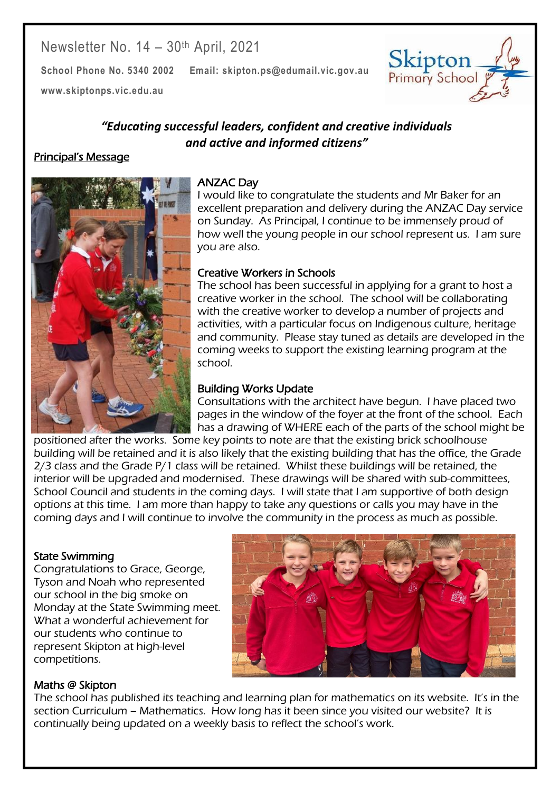# Newsletter No. 14 – 30th April, 2021

**School Phone No. 5340 2002 Email: skipton.ps@edumail.vic.gov.au**





## *"Educating successful leaders, confident and creative individuals and active and informed citizens"*

#### Principal's Message



#### ANZAC Day

I would like to congratulate the students and Mr Baker for an excellent preparation and delivery during the ANZAC Day service on Sunday. As Principal, I continue to be immensely proud of how well the young people in our school represent us. I am sure you are also.

## Creative Workers in Schools

The school has been successful in applying for a grant to host a creative worker in the school. The school will be collaborating with the creative worker to develop a number of projects and activities, with a particular focus on Indigenous culture, heritage and community. Please stay tuned as details are developed in the coming weeks to support the existing learning program at the school.

## Building Works Update

Consultations with the architect have begun. I have placed two pages in the window of the foyer at the front of the school. Each has a drawing of WHERE each of the parts of the school might be

positioned after the works. Some key points to note are that the existing brick schoolhouse building will be retained and it is also likely that the existing building that has the office, the Grade 2/3 class and the Grade P/1 class will be retained. Whilst these buildings will be retained, the interior will be upgraded and modernised. These drawings will be shared with sub-committees, School Council and students in the coming days. I will state that I am supportive of both design options at this time. I am more than happy to take any questions or calls you may have in the coming days and I will continue to involve the community in the process as much as possible.

#### State Swimming

Congratulations to Grace, George, Tyson and Noah who represented our school in the big smoke on Monday at the State Swimming meet. What a wonderful achievement for our students who continue to represent Skipton at high-level competitions.



Centacare South West

## Maths @ Skipton

The school has published its teaching and learning plan for mathematics on its website. It's in the section Curriculum – Mathematics. How long has it been since you visited our website? It is continually being updated on a weekly basis to reflect the school's work.